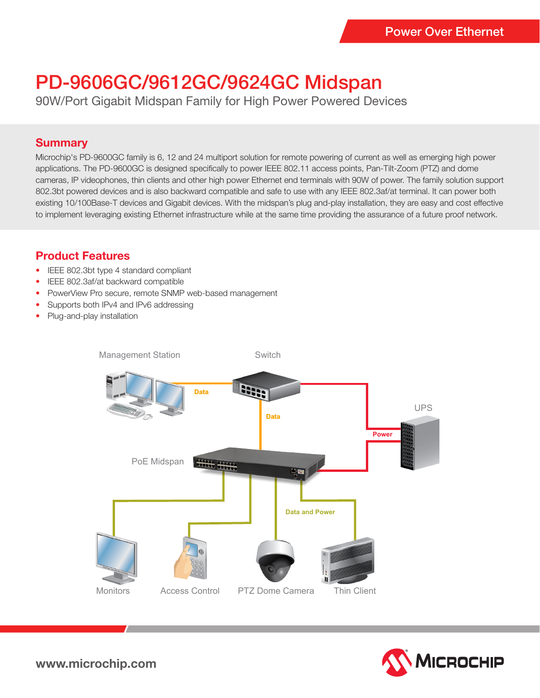# PD-9606GC/9612GC/9624GC Midspan

90W/Port Gigabit Midspan Family for High Power Powered Devices

#### **Summary**

Microchip's PD-9600GC family is 6, 12 and 24 multiport solution for remote powering of current as well as emerging high power applications. The PD-9600GC is designed specifically to power IEEE 802.11 access points, Pan-Tilt-Zoom (PTZ) and dome cameras, IP videophones, thin clients and other high power Ethernet end terminals with 90W of power. The family solution support 802.3bt powered devices and is also backward compatible and safe to use with any IEEE 802.3af/at terminal. It can power both existing 10/100Base-T devices and Gigabit devices. With the midspan's plug and-play installation, they are easy and cost effective to implement leveraging existing Ethernet infrastructure while at the same time providing the assurance of a future proof network.

### **Product Features**

- IEEE 802.3bt type 4 standard compliant
- IEEE 802.3af/at backward compatible
- PowerView Pro secure, remote SNMP web-based management
- Supports both IPv4 and IPv6 addressing
- Plug-and-play installation